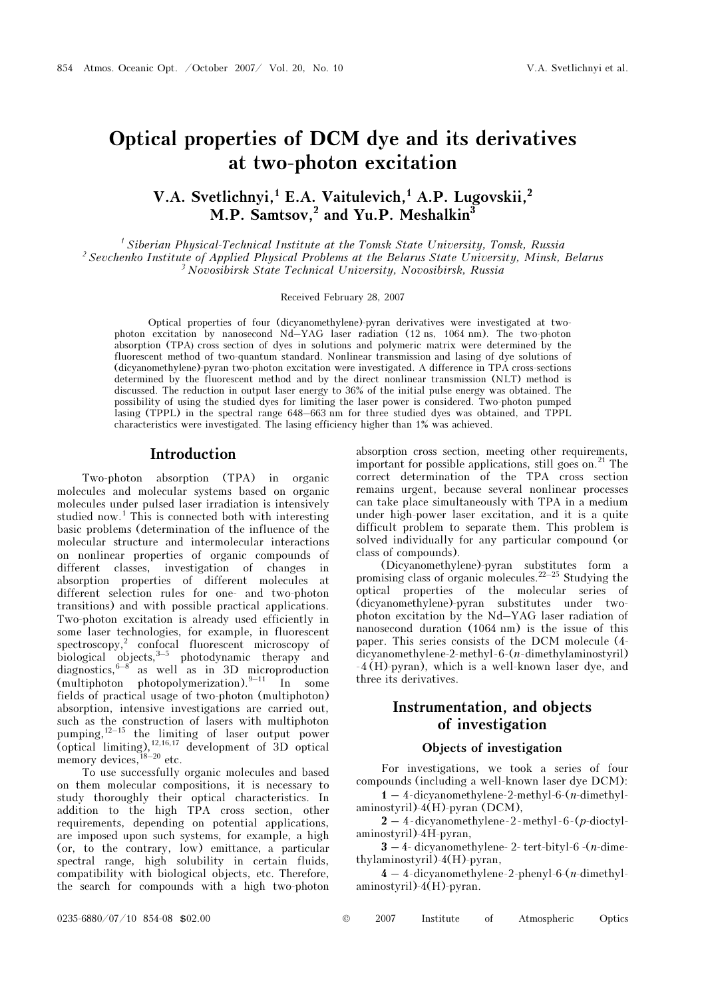# Optical properties of DCM dye and its derivatives at two-photon excitation

# V.A. Svetlichnyi, E.A. Vaitulevich, A.P. Lugovskii, <sup>2</sup> M.P. Samtsov,<sup>2</sup> and Yu.P. Meshalkin<sup>3</sup>

<sup> $1$ </sup> Siberian Physical-Technical Institute at the Tomsk State University, Tomsk, Russia <sup>2</sup> Sevchenko Institute of Applied Physical Problems at the Belarus State University, Minsk, Belarus  $3$  Novosibirsk State Technical University, Novosibirsk, Russia

#### Received February 28, 2007

Optical properties of four (dicyanomethylene)-pyran derivatives were investigated at twophoton excitation by nanosecond Nd–YAG laser radiation (12 ns, 1064 nm). The two-photon absorption (TPA) cross section of dyes in solutions and polymeric matrix were determined by the fluorescent method of two-quantum standard. Nonlinear transmission and lasing of dye solutions of (dicyanomethylene)-pyran two-photon excitation were investigated. A difference in TPA cross-sections determined by the fluorescent method and by the direct nonlinear transmission (NLT) method is discussed. The reduction in output laser energy to 36% of the initial pulse energy was obtained. The possibility of using the studied dyes for limiting the laser power is considered. Two-photon pumped lasing (TPPL) in the spectral range 648–663 nm for three studied dyes was obtained, and TPPL characteristics were investigated. The lasing efficiency higher than 1% was achieved.

## Introduction

Two-photon absorption (TPA) in organic molecules and molecular systems based on organic molecules under pulsed laser irradiation is intensively studied now.<sup>1</sup> This is connected both with interesting basic problems (determination of the influence of the molecular structure and intermolecular interactions on nonlinear properties of organic compounds of different classes, investigation of changes in absorption properties of different molecules at different selection rules for one- and two-photon transitions) and with possible practical applications. Two-photon excitation is already used efficiently in some laser technologies, for example, in fluorescent spectroscopy,<sup>2</sup> confocal fluorescent microscopy of biological objects,<sup>3–5</sup> photodynamic therapy and diagnostics,  $6-8$  as well as in 3D microproduction (multiphoton photopolymerization). $9-11$  In some fields of practical usage of two-photon (multiphoton) absorption, intensive investigations are carried out, such as the construction of lasers with multiphoton pumping,  $12-15$  the limiting of laser output power (optical limiting),  $12,16,17$  development of 3D optical memory devices,  $18-20$  etc.

To use successfully organic molecules and based on them molecular compositions, it is necessary to study thoroughly their optical characteristics. In addition to the high TPA cross section, other requirements, depending on potential applications, are imposed upon such systems, for example, a high (or, to the contrary, low) emittance, a particular spectral range, high solubility in certain fluids, compatibility with biological objects, etc. Therefore, the search for compounds with a high two-photon

absorption cross section, meeting other requirements, important for possible applications, still goes on.<sup>21</sup> The correct determination of the TPA cross section remains urgent, because several nonlinear processes can take place simultaneously with TPA in a medium under high-power laser excitation, and it is a quite difficult problem to separate them. This problem is solved individually for any particular compound (or class of compounds).

(Dicyanomethylene)-pyran substitutes form a promising class of organic molecules.<sup>22–25</sup> Studying the optical properties of the molecular series of (dicyanomethylene)-pyran substitutes under twophoton excitation by the Nd–YAG laser radiation of nanosecond duration (1064 nm) is the issue of this paper. This series consists of the DCM molecule (4 dicyanomethylene-2-methyl-6-(n-dimethylaminostyril) -4 (H)-pyran), which is a well-known laser dye, and three its derivatives.

# Instrumentation, and objects of investigation

#### Objects of investigation

For investigations, we took a series of four compounds (including a well-known laser dye DCM):

 $1 - 4$ -dicyanomethylene-2-methyl-6- $(n$ -dimethylaminostyril)-4(H)-pyran (DCM),

 $2 - 4$ -dicyanomethylene-2-methyl-6- $(p$ -dioctylaminostyril)-4H-pyran,

 $3 - 4$ - dicyanomethylene- 2- tert-bityl-6 -(*n*-dimethylaminostyril)-4(H)-pyran,

 $4 - 4$ -dicyanomethylene-2-phenyl-6- $(n$ -dimethylaminostyril)-4(H)-pyran.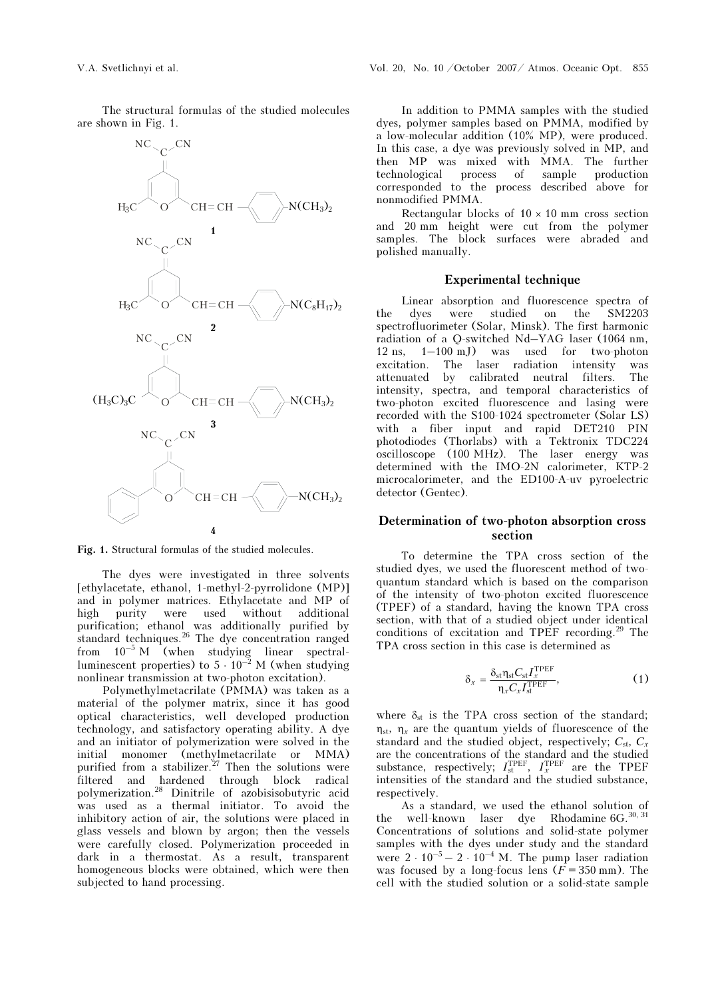The structural formulas of the studied molecules are shown in Fig. 1.



Fig. 1. Structural formulas of the studied molecules.

The dyes were investigated in three solvents [ethylacetate, ethanol, 1-methyl-2-pyrrolidone (MP)] and in polymer matrices. Ethylacetate and MP of high purity were used without additional purification; ethanol was additionally purified by standard techniques.<sup>26</sup> The dye concentration ranged from 10–5 M (when studying linear spectralluminescent properties) to  $5 \cdot 10^{-2}$  M (when studying nonlinear transmission at two-photon excitation).

Polymethylmetacrilate (PMMA) was taken as a material of the polymer matrix, since it has good optical characteristics, well developed production technology, and satisfactory operating ability. A dye and an initiator of polymerization were solved in the initial monomer (methylmetacrilate or MMA) purified from a stabilizer.<sup>27</sup> Then the solutions were filtered and hardened through block radical polymerization.<sup>28</sup> Dinitrile of azobisisobutyric acid was used as a thermal initiator. To avoid the inhibitory action of air, the solutions were placed in glass vessels and blown by argon; then the vessels were carefully closed. Polymerization proceeded in dark in a thermostat. As a result, transparent homogeneous blocks were obtained, which were then subjected to hand processing.

In addition to PMMA samples with the studied dyes, polymer samples based on PMMA, modified by a low-molecular addition (10% MP), were produced. In this case, a dye was previously solved in MP, and then MP was mixed with MMA. The further<br>technological process of sample production technological process of sample corresponded to the process described above for nonmodified PMMA.

Rectangular blocks of  $10 \times 10$  mm cross section and 20 mm height were cut from the polymer samples. The block surfaces were abraded and polished manually.

## Experimental technique

Linear absorption and fluorescence spectra of the dyes were studied on the SM2203 spectrofluorimeter (Solar, Minsk). The first harmonic radiation of a Q-switched Nd–YAG laser (1064 nm, 12 ns, 1–100 mJ) was used for two-photon excitation. The laser radiation intensity was attenuated by calibrated neutral filters. The intensity, spectra, and temporal characteristics of two-photon excited fluorescence and lasing were recorded with the S100-1024 spectrometer (Solar LS) with a fiber input and rapid DET210 PIN photodiodes (Thorlabs) with a Tektronix TDC224 oscilloscope (100 MHz). The laser energy was determined with the IMO-2N calorimeter, KTP-2 microcalorimeter, and the ED100-A-uv pyroelectric detector (Gentec).

## Determination of two-photon absorption cross section

To determine the TPA cross section of the studied dyes, we used the fluorescent method of twoquantum standard which is based on the comparison of the intensity of two-photon excited fluorescence (TPEF) of a standard, having the known TPA cross section, with that of a studied object under identical conditions of excitation and TPEF recording.<sup>29</sup> The TPA cross section in this case is determined as

$$
\delta_x = \frac{\delta_{\text{st}} \eta_{\text{st}} C_{\text{st}} I_x^{\text{TPEF}}}{\eta_x C_x I_x^{\text{TPEF}}},\tag{1}
$$

where  $\delta_{st}$  is the TPA cross section of the standard;  $\eta_{st}$ ,  $\eta_{r}$  are the quantum yields of fluorescence of the standard and the studied object, respectively;  $C_{\rm st}$ ,  $C_{\rm r}$ are the concentrations of the standard and the studied substance, respectively;  $I_{st}^{TPEF}$ ,  $I_{x}^{TPEF}$  are the TPEF intensities of the standard and the studied substance, respectively.

As a standard, we used the ethanol solution of the well-known laser dye Rhodamine  $6G^{30,31}$ Concentrations of solutions and solid-state polymer samples with the dyes under study and the standard were  $2 \cdot 10^{-5} - 2 \cdot 10^{-4}$  M. The pump laser radiation was focused by a long-focus lens  $(F = 350 \text{ mm})$ . The cell with the studied solution or a solid-state sample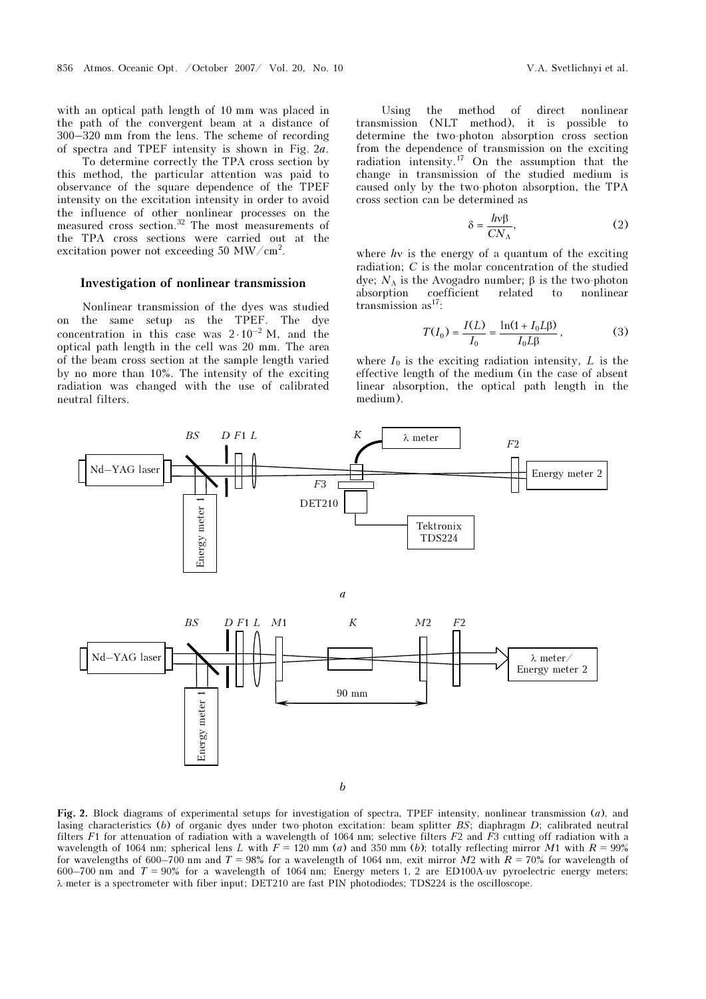with an optical path length of 10 mm was placed in the path of the convergent beam at a distance of 300–320 mm from the lens. The scheme of recording of spectra and TPEF intensity is shown in Fig. 2a.

 To determine correctly the TPA cross section by this method, the particular attention was paid to observance of the square dependence of the TPEF intensity on the excitation intensity in order to avoid the influence of other nonlinear processes on the measured cross section.<sup>32</sup> The most measurements of the TPA cross sections were carried out at the excitation power not exceeding 50 MW/cm<sup>2</sup>.

#### Investigation of nonlinear transmission

Nonlinear transmission of the dyes was studied on the same setup as the TPEF. The dye concentration in this case was  $2 \cdot 10^{-2}$  M, and the optical path length in the cell was 20 mm. The area of the beam cross section at the sample length varied by no more than 10%. The intensity of the exciting radiation was changed with the use of calibrated neutral filters.

Using the method of direct nonlinear transmission (NLT method), it is possible to determine the two-photon absorption cross section from the dependence of transmission on the exciting radiation intensity.<sup>17</sup> On the assumption that the change in transmission of the studied medium is caused only by the two-photon absorption, the TPA cross section can be determined as

$$
\delta = \frac{h\nu\beta}{CN_A},\tag{2}
$$

where  $h\nu$  is the energy of a quantum of the exciting radiation;  $C$  is the molar concentration of the studied dye;  $N_A$  is the Avogadro number; β is the two-photon absorption coefficient related to nonlinear transmission as $17$ :

$$
T(I_0) = \frac{I(L)}{I_0} = \frac{\ln(1 + I_0 L \beta)}{I_0 L \beta},
$$
 (3)

where  $I_0$  is the exciting radiation intensity, L is the effective length of the medium (in the case of absent linear absorption, the optical path length in the medium).



Fig. 2. Block diagrams of experimental setups for investigation of spectra, TPEF intensity, nonlinear transmission (a), and lasing characteristics (b) of organic dyes under two-photon excitation: beam splitter BS; diaphragm D; calibrated neutral filters F1 for attenuation of radiation with a wavelength of 1064 nm; selective filters F2 and F3 cutting off radiation with a wavelength of 1064 nm; spherical lens L with  $F = 120$  mm (a) and 350 mm (b); totally reflecting mirror M1 with  $R = 99\%$ for wavelengths of 600–700 nm and  $T = 98\%$  for a wavelength of 1064 nm, exit mirror  $M2$  with  $R = 70\%$  for wavelength of 600–700 nm and  $T = 90\%$  for a wavelength of 1064 nm; Energy meters 1, 2 are ED100A-uv pyroelectric energy meters; λ-meter is a spectrometer with fiber input; DET210 are fast PIN photodiodes; TDS224 is the oscilloscope.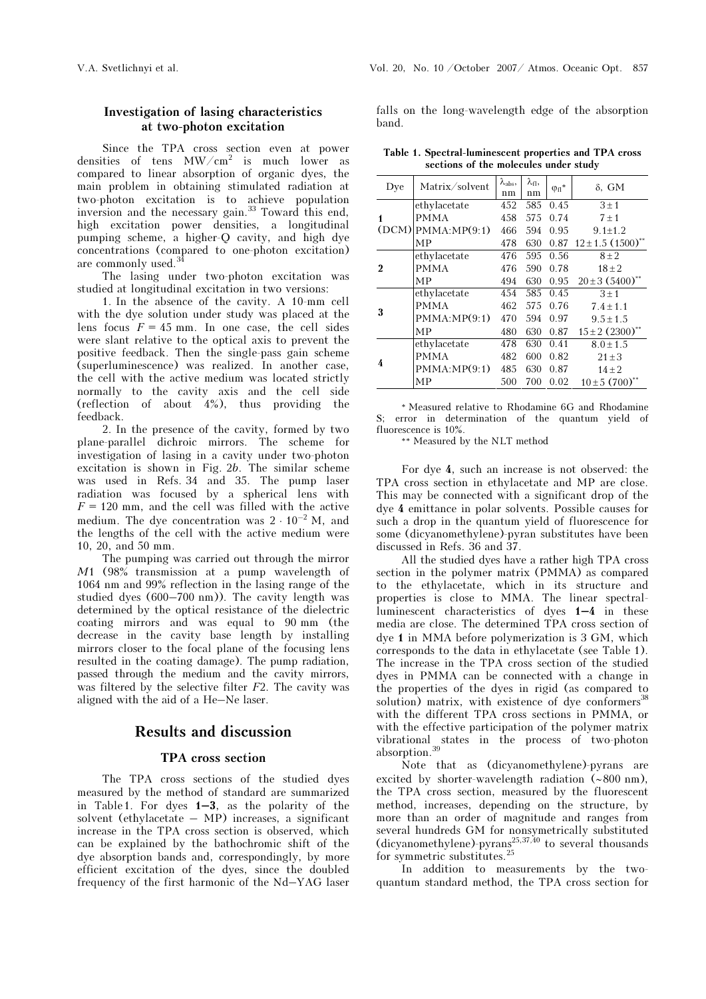## Investigation of lasing characteristics at two-photon excitation

Since the TPA cross section even at power densities of tens  $MW/cm<sup>2</sup>$  is much lower as compared to linear absorption of organic dyes, the main problem in obtaining stimulated radiation at two-photon excitation is to achieve population inversion and the necessary gain.<sup>33</sup> Toward this end, high excitation power densities, a longitudinal pumping scheme, a higher-Q cavity, and high dye concentrations (compared to one-photon excitation) are commonly used.<sup>34</sup>

The lasing under two-photon excitation was studied at longitudinal excitation in two versions:

1. In the absence of the cavity. A 10-mm cell with the dye solution under study was placed at the lens focus  $F = 45$  mm. In one case, the cell sides were slant relative to the optical axis to prevent the positive feedback. Then the single-pass gain scheme (superluminescence) was realized. In another case, the cell with the active medium was located strictly normally to the cavity axis and the cell side (reflection of about 4%), thus providing the feedback.

2. In the presence of the cavity, formed by two plane-parallel dichroic mirrors. The scheme for investigation of lasing in a cavity under two-photon excitation is shown in Fig. 2b. The similar scheme was used in Refs. 34 and 35. The pump laser radiation was focused by a spherical lens with  $F = 120$  mm, and the cell was filled with the active medium. The dye concentration was  $2 \cdot 10^{-2}$  M, and the lengths of the cell with the active medium were 10, 20, and 50 mm.

The pumping was carried out through the mirror M1 (98% transmission at a pump wavelength of 1064 nm and 99% reflection in the lasing range of the studied dyes (600–700 nm)). The cavity length was determined by the optical resistance of the dielectric coating mirrors and was equal to 90 mm (the decrease in the cavity base length by installing mirrors closer to the focal plane of the focusing lens resulted in the coating damage). The pump radiation, passed through the medium and the cavity mirrors, was filtered by the selective filter  $F2$ . The cavity was aligned with the aid of a He–Ne laser.

## Results and discussion

## TPA cross section

The TPA cross sections of the studied dyes measured by the method of standard are summarized in Table 1. For dyes  $1-3$ , as the polarity of the solvent (ethylacetate – MP) increases, a significant increase in the TPA cross section is observed, which can be explained by the bathochromic shift of the dye absorption bands and, correspondingly, by more efficient excitation of the dyes, since the doubled frequency of the first harmonic of the Nd–YAG laser

falls on the long-wavelength edge of the absorption band.

Table 1. Spectral-luminescent properties and TPA cross sections of the molecules under study

| Dye      | Matrix/solvent           | $\lambda_{\rm abs},$<br>nm | $\lambda_{\rm fl},$<br>nm | ${\phi_{\rm fl}}^*$ | $\delta$ , GM                     |
|----------|--------------------------|----------------------------|---------------------------|---------------------|-----------------------------------|
|          | ethylacetate             | 452                        | 585                       | 0.45                | $3 \pm 1$                         |
|          | <b>PMMA</b>              | 458                        | 575                       | 0.74                | $7 \pm 1$                         |
|          | $(DCM)$ PMMA: MP $(9:1)$ | 466                        | 594                       | 0.95                | $9.1 \pm 1.2$                     |
|          | MP                       | 478                        | 630                       | 0.87                | $12 \pm 1.5$ (1500) <sup>**</sup> |
| $\bf{2}$ | ethylacetate             | 476                        | 595                       | 0.56                | $8 + 2$                           |
|          | <b>PMMA</b>              | 476                        | 590                       | 0.78                | $18 \pm 2$                        |
|          | МP                       | 494                        | 630                       | 0.95                | $20 \pm 3$ (5400) <sup>*</sup>    |
| 3        | ethylacetate             | 454                        | 585                       | 0.45                | $3 \pm 1$                         |
|          | <b>PMMA</b>              | 462                        | 575                       | 0.76                | $7.4 \pm 1.1$                     |
|          | PMMA:MP(9:1)             | 470                        | 594                       | 0.97                | $9.5 \pm 1.5$                     |
|          | МP                       | 480                        | 630                       | 0.87                | $15 \pm 2$ (2300) <sup>**</sup>   |
| 4        | ethylacetate             | 478                        | 630                       | 0.41                | $8.0 \pm 1.5$                     |
|          | <b>PMMA</b>              | 482                        | 600                       | 0.82                | $21 \pm 3$                        |
|          | PMMA:MP(9:1)             | 485                        | 630                       | 0.87                | $14 \pm 2$                        |
|          | MP                       | 500                        | 700                       | 0.02                | $10 \pm 5$ (700) <sup>*</sup>     |

\* Measured relative to Rhodamine 6G and Rhodamine S; error in determination of the quantum yield of fluorescence is 10%.

\*\* Measured by the NLT method

For dye 4, such an increase is not observed: the TPA cross section in ethylacetate and MP are close. This may be connected with a significant drop of the dye 4 emittance in polar solvents. Possible causes for such a drop in the quantum yield of fluorescence for some (dicyanomethylene)-pyran substitutes have been discussed in Refs. 36 and 37.

All the studied dyes have a rather high TPA cross section in the polymer matrix (PMMA) as compared to the ethylacetate, which in its structure and properties is close to MMA. The linear spectralluminescent characteristics of dyes 1–4 in these media are close. The determined TPA cross section of dye 1 in MMA before polymerization is 3 GM, which corresponds to the data in ethylacetate (see Table 1). The increase in the TPA cross section of the studied dyes in PMMA can be connected with a change in the properties of the dyes in rigid (as compared to solution) matrix, with existence of dye conformers<sup>38</sup> with the different TPA cross sections in PMMA, or with the effective participation of the polymer matrix vibrational states in the process of two-photon absorption.<sup>39</sup>

Note that as (dicyanomethylene)-pyrans are excited by shorter-wavelength radiation (∼800 nm), the TPA cross section, measured by the fluorescent method, increases, depending on the structure, by more than an order of magnitude and ranges from several hundreds GM for nonsymetrically substituted (dicyanomethylene)-pyrans<sup>25,37,40</sup> to several thousands for symmetric substitutes.<sup>25</sup>

In addition to measurements by the twoquantum standard method, the TPA cross section for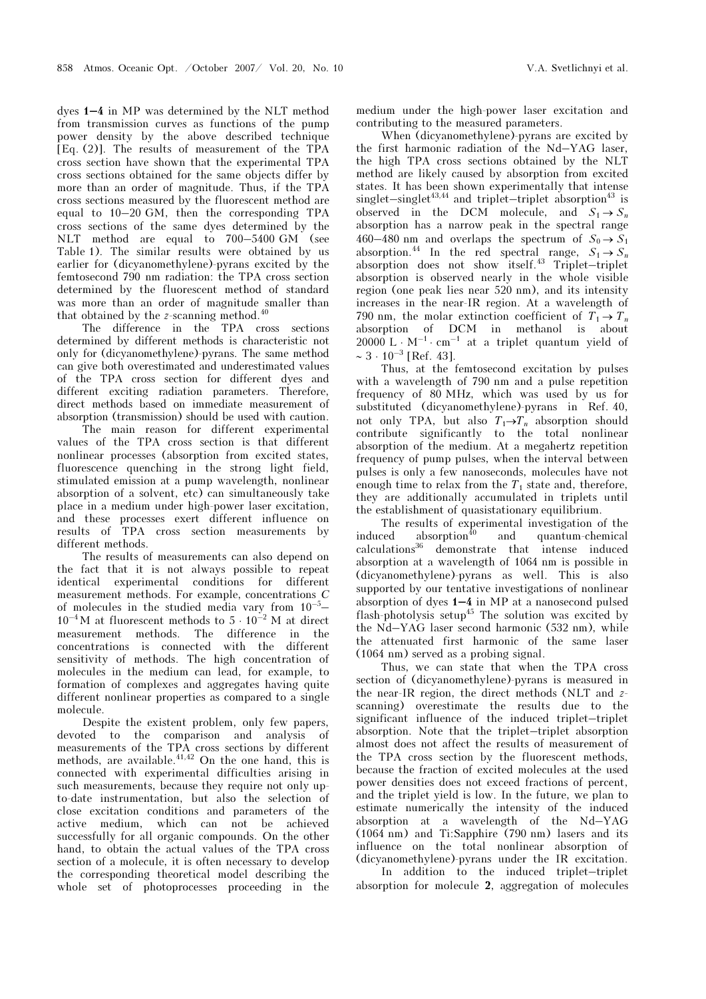dyes 1–4 in MP was determined by the NLT method from transmission curves as functions of the pump power density by the above described technique [Eq. (2)]. The results of measurement of the TPA cross section have shown that the experimental TPA cross sections obtained for the same objects differ by more than an order of magnitude. Thus, if the TPA cross sections measured by the fluorescent method are equal to 10–20 GM, then the corresponding TPA cross sections of the same dyes determined by the NLT method are equal to 700–5400 GM (see Table 1). The similar results were obtained by us earlier for (dicyanomethylene)-pyrans excited by the femtosecond 790 nm radiation: the TPA cross section determined by the fluorescent method of standard was more than an order of magnitude smaller than that obtained by the  $z$ -scanning method.<sup>40</sup>

The difference in the TPA cross sections determined by different methods is characteristic not only for (dicyanomethylene)-pyrans. The same method can give both overestimated and underestimated values of the TPA cross section for different dyes and different exciting radiation parameters. Therefore, direct methods based on immediate measurement of absorption (transmission) should be used with caution.

 The main reason for different experimental values of the TPA cross section is that different nonlinear processes (absorption from excited states, fluorescence quenching in the strong light field, stimulated emission at a pump wavelength, nonlinear absorption of a solvent, etc) can simultaneously take place in a medium under high-power laser excitation, and these processes exert different influence on results of TPA cross section measurements by different methods.

The results of measurements can also depend on the fact that it is not always possible to repeat identical experimental conditions for different measurement methods. For example, concentrations  $C$ of molecules in the studied media vary from 10–5–  $10^{-4}$ M at fluorescent methods to  $5 \cdot 10^{-2}$  M at direct measurement methods. The difference in the concentrations is connected with the different sensitivity of methods. The high concentration of molecules in the medium can lead, for example, to formation of complexes and aggregates having quite different nonlinear properties as compared to a single molecule.

Despite the existent problem, only few papers, devoted to the comparison and analysis of measurements of the TPA cross sections by different methods, are available.<sup>41,42</sup> On the one hand, this is connected with experimental difficulties arising in such measurements, because they require not only upto-date instrumentation, but also the selection of close excitation conditions and parameters of the active medium, which can not be achieved successfully for all organic compounds. On the other hand, to obtain the actual values of the TPA cross section of a molecule, it is often necessary to develop the corresponding theoretical model describing the whole set of photoprocesses proceeding in the

medium under the high-power laser excitation and contributing to the measured parameters.

When (dicyanomethylene)-pyrans are excited by the first harmonic radiation of the Nd–YAG laser, the high TPA cross sections obtained by the NLT method are likely caused by absorption from excited states. It has been shown experimentally that intense singlet–singlet<sup>43,44</sup> and triplet–triplet absorption<sup>43</sup> is observed in the DCM molecule, and  $S_1 \rightarrow S_n$ absorption has a narrow peak in the spectral range 460–480 nm and overlaps the spectrum of  $S_0 \rightarrow S_1$ absorption.<sup>44</sup> In the red spectral range,  $S_1 \rightarrow S_n$ absorption does not show itself.<sup>43</sup> Triplet–triplet absorption is observed nearly in the whole visible region (one peak lies near 520 nm), and its intensity increases in the near-IR region. At a wavelength of 790 nm, the molar extinction coefficient of  $T_1 \rightarrow T_n$ absorption of DCM in methanol is about 20000 L  $\cdot$  M<sup>-1</sup>  $\cdot$  cm<sup>-1</sup> at a triplet quantum yield of  $\sim 3 \cdot 10^{-3}$  [Ref. 43].

Thus, at the femtosecond excitation by pulses with a wavelength of 790 nm and a pulse repetition frequency of 80 MHz, which was used by us for substituted (dicyanomethylene)-pyrans in Ref. 40, not only TPA, but also  $T_1 \rightarrow T_n$  absorption should contribute significantly to the total nonlinear absorption of the medium. At a megahertz repetition frequency of pump pulses, when the interval between pulses is only a few nanoseconds, molecules have not enough time to relax from the  $T_1$  state and, therefore, they are additionally accumulated in triplets until the establishment of quasistationary equilibrium.

The results of experimental investigation of the  $induced \tabsorption^{40} \t and \tquantum-chemical$ calculations<sup>36</sup> demonstrate that intense induced absorption at a wavelength of 1064 nm is possible in (dicyanomethylene)-pyrans as well. This is also supported by our tentative investigations of nonlinear absorption of dyes 1–4 in MP at a nanosecond pulsed flash-photolysis setup<sup>45</sup> The solution was excited by the Nd–YAG laser second harmonic (532 nm), while the attenuated first harmonic of the same laser (1064 nm) served as a probing signal.

Thus, we can state that when the TPA cross section of (dicyanomethylene)-pyrans is measured in the near-IR region, the direct methods (NLT and zscanning) overestimate the results due to the significant influence of the induced triplet–triplet absorption. Note that the triplet–triplet absorption almost does not affect the results of measurement of the TPA cross section by the fluorescent methods, because the fraction of excited molecules at the used power densities does not exceed fractions of percent, and the triplet yield is low. In the future, we plan to estimate numerically the intensity of the induced absorption at a wavelength of the Nd–YAG (1064 nm) and Ti:Sapphire (790 nm) lasers and its influence on the total nonlinear absorption of (dicyanomethylene)-pyrans under the IR excitation.

 In addition to the induced triplet–triplet absorption for molecule 2, aggregation of molecules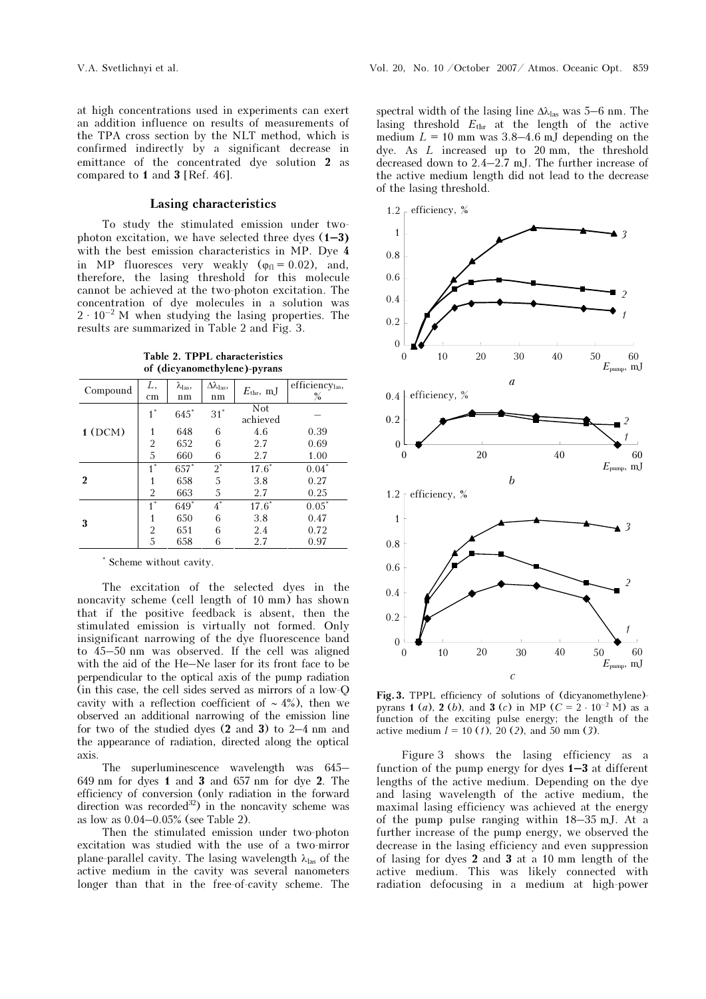at high concentrations used in experiments can exert an addition influence on results of measurements of the TPA cross section by the NLT method, which is confirmed indirectly by a significant decrease in emittance of the concentrated dye solution 2 as compared to 1 and 3 [Ref. 46].

## Lasing characteristics

To study the stimulated emission under twophoton excitation, we have selected three dyes  $(1-3)$ with the best emission characteristics in MP. Dye 4 in MP fluoresces very weakly ( $\varphi_{\text{fl}} = 0.02$ ), and, therefore, the lasing threshold for this molecule cannot be achieved at the two-photon excitation. The concentration of dye molecules in a solution was  $2 \cdot 10^{-2}$  M when studying the lasing properties. The concentration of dye molecules in a solution was results are summarized in Table 2 and Fig. 3.

Table 2. TPPL characteristics of (dicyanomethylene)-pyrans

| Compound | L,<br>cm       | $\lambda_{\text{las}}$<br>nm | $\Delta\lambda_{\rm las},$<br>nm | $E_{\text{thr}}$ , mJ | efficiencylas,<br>$\%$   |
|----------|----------------|------------------------------|----------------------------------|-----------------------|--------------------------|
|          | $1^*$          | $645*$                       | $31^*$                           | Not<br>achieved       |                          |
| 1(DCM)   | 1              | 648                          | 6                                | 4.6                   | 0.39                     |
|          | 2              | 652                          | 6                                | 2.7                   | 0.69                     |
|          | 5              | 660                          | 6                                | 2.7                   | 1.00                     |
|          | $1^*$          | $657*$                       | $2^*$                            | $17.6^*$              | $0.04*$                  |
| 2        | 1              | 658                          | 5                                | 3.8                   | 0.27                     |
|          | 2              | 663                          | 5                                | 2.7                   | 0.25                     |
|          | $1^*$          | $649*$                       | $4^*$                            | $17.6*$               | $0.05\ensuremath{^\ast}$ |
| 3        |                | 650                          | 6                                | 3.8                   | 0.47                     |
|          | $\overline{2}$ | 651                          | 6                                | 2.4                   | 0.72                     |
|          | 5              | 658                          | 6                                | 2.7                   | 0.97                     |

\* Scheme without cavity.

The excitation of the selected dyes in the noncavity scheme (cell length of 10 mm) has shown that if the positive feedback is absent, then the stimulated emission is virtually not formed. Only insignificant narrowing of the dye fluorescence band to 45–50 nm was observed. If the cell was aligned with the aid of the He–Ne laser for its front face to be perpendicular to the optical axis of the pump radiation (in this case, the cell sides served as mirrors of a low-Q cavity with a reflection coefficient of  $~12$ %), then we observed an additional narrowing of the emission line for two of the studied dyes (2 and 3) to 2–4 nm and the appearance of radiation, directed along the optical axis.

The superluminescence wavelength was 645– 649 nm for dyes 1 and 3 and 657 nm for dye 2. The efficiency of conversion (only radiation in the forward direction was recorded<sup>32</sup>) in the noncavity scheme was as low as 0.04–0.05% (see Table 2).

Then the stimulated emission under two-photon excitation was studied with the use of a two-mirror plane-parallel cavity. The lasing wavelength  $\lambda_{\text{las}}$  of the active medium in the cavity was several nanometers longer than that in the free-of-cavity scheme. The spectral width of the lasing line  $\Delta\lambda_{\text{las}}$  was 5–6 nm. The lasing threshold  $E_{thr}$  at the length of the active medium  $L = 10$  mm was  $3.8-4.6$  mJ depending on the dye. As L increased up to 20 mm, the threshold decreased down to 2.4–2.7 mJ. The further increase of the active medium length did not lead to the decrease of the lasing threshold.



Fig. 3. TPPL efficiency of solutions of (dicyanomethylene) pyrans 1 (a), 2 (b), and 3 (c) in MP ( $C = 2 \cdot 10^{-2}$  M) as a function of the exciting pulse energy; the length of the active medium  $l = 10$  (1), 20 (2), and 50 mm (3).

Figure 3 shows the lasing efficiency as a function of the pump energy for dyes 1–3 at different lengths of the active medium. Depending on the dye and lasing wavelength of the active medium, the maximal lasing efficiency was achieved at the energy of the pump pulse ranging within 18–35 mJ. At a further increase of the pump energy, we observed the decrease in the lasing efficiency and even suppression of lasing for dyes 2 and 3 at a 10 mm length of the active medium. This was likely connected with radiation defocusing in a medium at high-power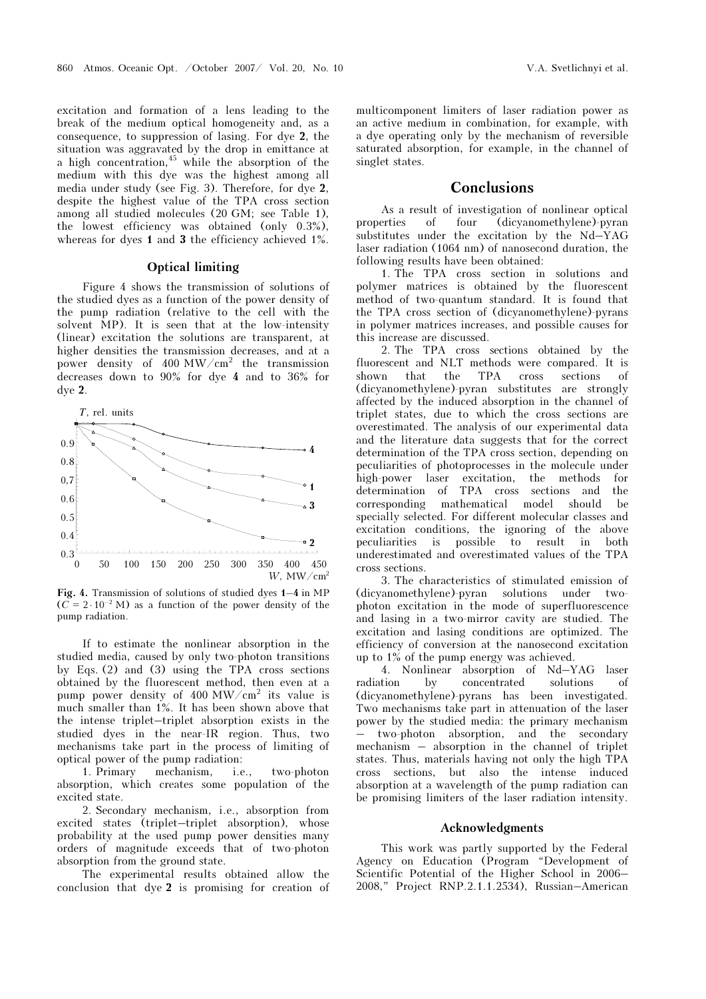excitation and formation of a lens leading to the break of the medium optical homogeneity and, as a consequence, to suppression of lasing. For dye 2, the situation was aggravated by the drop in emittance at a high concentration,  $45$  while the absorption of the medium with this dye was the highest among all media under study (see Fig. 3). Therefore, for dye 2, despite the highest value of the TPA cross section among all studied molecules (20 GM; see Table 1), the lowest efficiency was obtained (only 0.3%), whereas for dyes 1 and 3 the efficiency achieved 1%.

## Optical limiting

Figure 4 shows the transmission of solutions of the studied dyes as a function of the power density of the pump radiation (relative to the cell with the solvent MP). It is seen that at the low-intensity (linear) excitation the solutions are transparent, at higher densities the transmission decreases, and at a power density of  $400 \text{ MW/cm}^2$  the transmission decreases down to 90% for dye 4 and to 36% for dye 2.



Fig. 4. Transmission of solutions of studied dyes 1–4 in MP  $(C = 2 \cdot 10^{-2} \text{ M})$  as a function of the power density of the pump radiation.

If to estimate the nonlinear absorption in the studied media, caused by only two-photon transitions by Eqs. (2) and (3) using the TPA cross sections obtained by the fluorescent method, then even at a pump power density of 400 MW/cm<sup>2</sup> its value is much smaller than 1%. It has been shown above that the intense triplet–triplet absorption exists in the studied dyes in the near-IR region. Thus, two mechanisms take part in the process of limiting of optical power of the pump radiation:<br>1. Primary mechanism, i.e

mechanism, i.e., two-photon absorption, which creates some population of the excited state.

2. Secondary mechanism, i.e., absorption from excited states (triplet–triplet absorption), whose probability at the used pump power densities many orders of magnitude exceeds that of two-photon absorption from the ground state.

The experimental results obtained allow the conclusion that dye 2 is promising for creation of

multicomponent limiters of laser radiation power as an active medium in combination, for example, with a dye operating only by the mechanism of reversible saturated absorption, for example, in the channel of singlet states.

## Conclusions

As a result of investigation of nonlinear optical properties of four (dicyanomethylene)-pyran substitutes under the excitation by the Nd–YAG laser radiation (1064 nm) of nanosecond duration, the following results have been obtained:

1. The TPA cross section in solutions and polymer matrices is obtained by the fluorescent method of two-quantum standard. It is found that the TPA cross section of (dicyanomethylene)-pyrans in polymer matrices increases, and possible causes for this increase are discussed.

2. The TPA cross sections obtained by the fluorescent and NLT methods were compared. It is shown that the TPA cross sections of (dicyanomethylene)-pyran substitutes are strongly affected by the induced absorption in the channel of triplet states, due to which the cross sections are overestimated. The analysis of our experimental data and the literature data suggests that for the correct determination of the TPA cross section, depending on peculiarities of photoprocesses in the molecule under high-power laser excitation, the methods for determination of TPA cross sections and the corresponding mathematical model should be specially selected. For different molecular classes and excitation conditions, the ignoring of the above peculiarities is possible to result in both underestimated and overestimated values of the TPA cross sections.

3. The characteristics of stimulated emission of (dicyanomethylene)-pyran solutions under twophoton excitation in the mode of superfluorescence and lasing in a two-mirror cavity are studied. The excitation and lasing conditions are optimized. The efficiency of conversion at the nanosecond excitation up to 1% of the pump energy was achieved.

4. Nonlinear absorption of Nd–YAG laser radiation by concentrated solutions of (dicyanomethylene)-pyrans has been investigated. Two mechanisms take part in attenuation of the laser power by the studied media: the primary mechanism – two-photon absorption, and the secondary mechanism – absorption in the channel of triplet states. Thus, materials having not only the high TPA cross sections, but also the intense induced absorption at a wavelength of the pump radiation can be promising limiters of the laser radiation intensity.

## Acknowledgments

This work was partly supported by the Federal Agency on Education (Program "Development of Scientific Potential of the Higher School in 2006– 2008," Project RNP.2.1.1.2534), Russian–American